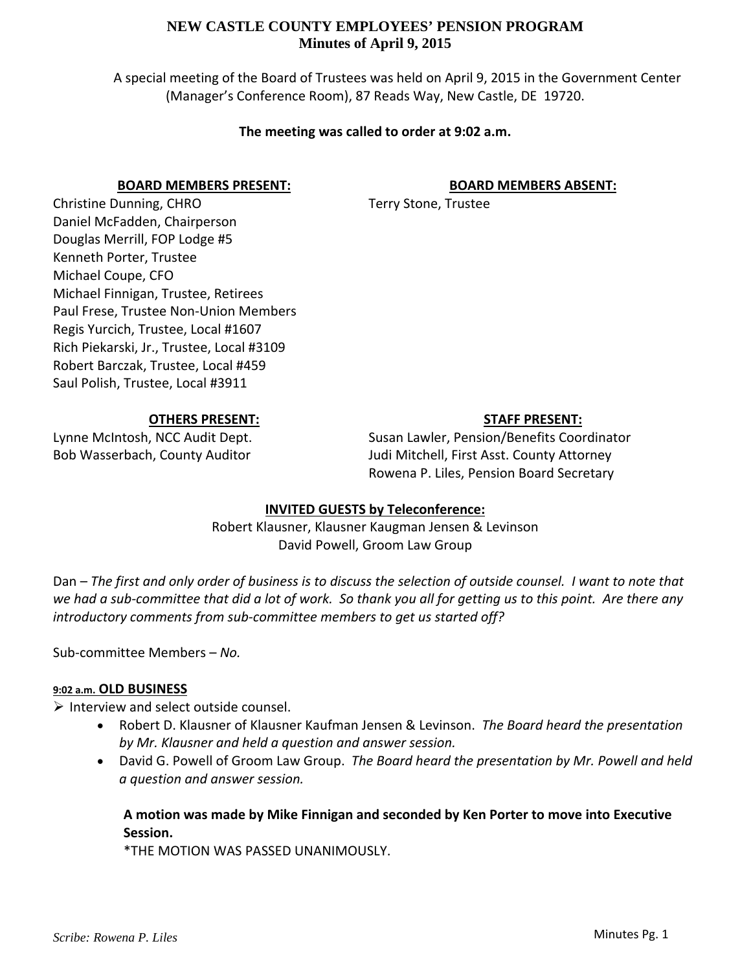# **NEW CASTLE COUNTY EMPLOYEES' PENSION PROGRAM Minutes of April 9, 2015**

A special meeting of the Board of Trustees was held on April 9, 2015 in the Government Center (Manager's Conference Room), 87 Reads Way, New Castle, DE 19720.

#### **The meeting was called to order at 9:02 a.m.**

#### **BOARD MEMBERS PRESENT:**

#### **BOARD MEMBERS ABSENT:**

Terry Stone, Trustee

Christine Dunning, CHRO Daniel McFadden, Chairperson Douglas Merrill, FOP Lodge #5 Kenneth Porter, Trustee Michael Coupe, CFO Michael Finnigan, Trustee, Retirees Paul Frese, Trustee Non‐Union Members Regis Yurcich, Trustee, Local #1607 Rich Piekarski, Jr., Trustee, Local #3109 Robert Barczak, Trustee, Local #459 Saul Polish, Trustee, Local #3911

## **OTHERS PRESENT:**

# Lynne McIntosh, NCC Audit Dept. Bob Wasserbach, County Auditor

# **STAFF PRESENT:**

Susan Lawler, Pension/Benefits Coordinator Judi Mitchell, First Asst. County Attorney Rowena P. Liles, Pension Board Secretary

# **INVITED GUESTS by Teleconference:**

Robert Klausner, Klausner Kaugman Jensen & Levinson David Powell, Groom Law Group

Dan - The first and only order of business is to discuss the selection of outside counsel. I want to note that we had a sub-committee that did a lot of work. So thank you all for getting us to this point. Are there any *introductory comments from sub‐committee members to get us started off?*

Sub‐committee Members – *No.*

#### **9:02 a.m. OLD BUSINESS**

 $\triangleright$  Interview and select outside counsel.

- Robert D. Klausner of Klausner Kaufman Jensen & Levinson. *The Board heard the presentation by Mr. Klausner and held a question and answer session.*
- David G. Powell of Groom Law Group. *The Board heard the presentation by Mr. Powell and held a question and answer session.*

# **A motion was made by Mike Finnigan and seconded by Ken Porter to move into Executive Session.**

\*THE MOTION WAS PASSED UNANIMOUSLY.